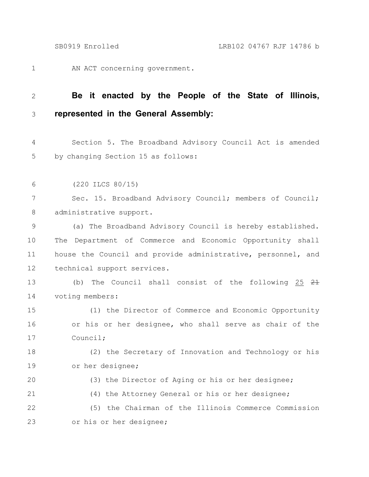AN ACT concerning government. 1

## 2

20

21

## **Be it enacted by the People of the State of Illinois, represented in the General Assembly:** 3

Section 5. The Broadband Advisory Council Act is amended by changing Section 15 as follows: 4 5

(220 ILCS 80/15) 6

Sec. 15. Broadband Advisory Council; members of Council; administrative support. 7 8

(a) The Broadband Advisory Council is hereby established. The Department of Commerce and Economic Opportunity shall house the Council and provide administrative, personnel, and technical support services. 9 10 11 12

(b) The Council shall consist of the following  $25 \frac{21}{10}$ voting members: 13 14

(1) the Director of Commerce and Economic Opportunity or his or her designee, who shall serve as chair of the Council; 15 16 17

(2) the Secretary of Innovation and Technology or his or her designee; 18 19

(3) the Director of Aging or his or her designee;

(4) the Attorney General or his or her designee;

(5) the Chairman of the Illinois Commerce Commission or his or her designee; 22 23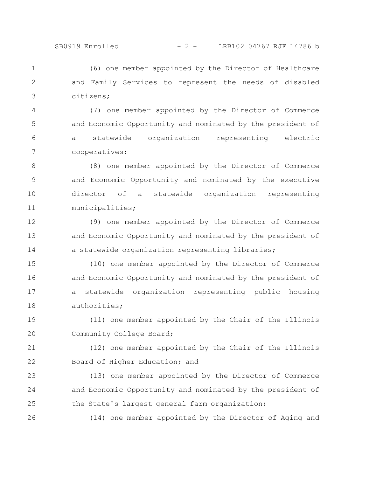(6) one member appointed by the Director of Healthcare and Family Services to represent the needs of disabled citizens; 1 2 3

(7) one member appointed by the Director of Commerce and Economic Opportunity and nominated by the president of a statewide organization representing electric cooperatives; 4 5 6 7

(8) one member appointed by the Director of Commerce and Economic Opportunity and nominated by the executive director of a statewide organization representing municipalities; 8 9 10 11

(9) one member appointed by the Director of Commerce and Economic Opportunity and nominated by the president of a statewide organization representing libraries; 12 13 14

(10) one member appointed by the Director of Commerce and Economic Opportunity and nominated by the president of a statewide organization representing public housing authorities; 15 16 17 18

(11) one member appointed by the Chair of the Illinois Community College Board; 19 20

(12) one member appointed by the Chair of the Illinois Board of Higher Education; and 21 22

(13) one member appointed by the Director of Commerce and Economic Opportunity and nominated by the president of the State's largest general farm organization; 23 24 25

(14) one member appointed by the Director of Aging and 26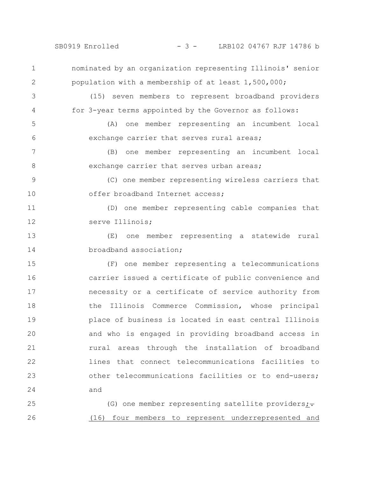SB0919 Enrolled - 3 - LRB102 04767 RJF 14786 b

nominated by an organization representing Illinois' senior population with a membership of at least 1,500,000; (15) seven members to represent broadband providers for 3-year terms appointed by the Governor as follows: (A) one member representing an incumbent local exchange carrier that serves rural areas; (B) one member representing an incumbent local exchange carrier that serves urban areas; (C) one member representing wireless carriers that offer broadband Internet access; (D) one member representing cable companies that serve Illinois; (E) one member representing a statewide rural broadband association; (F) one member representing a telecommunications carrier issued a certificate of public convenience and necessity or a certificate of service authority from the Illinois Commerce Commission, whose principal place of business is located in east central Illinois and who is engaged in providing broadband access in rural areas through the installation of broadband lines that connect telecommunications facilities to other telecommunications facilities or to end-users; and (G) one member representing satellite providers; $\div$ 1 2 3 4 5 6 7 8 9 10 11 12 13 14 15 16 17 18 19 20 21 22 23 24 25

(16) four members to represent underrepresented and 26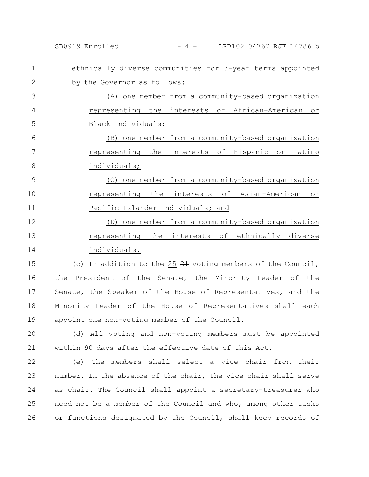SB0919 Enrolled - 4 - LRB102 04767 RJF 14786 b

| $\mathbf 1$ | ethnically diverse communities for 3-year terms appointed       |
|-------------|-----------------------------------------------------------------|
| 2           | by the Governor as follows:                                     |
| 3           | (A) one member from a community-based organization              |
| 4           | representing the interests of African-American or               |
| 5           | Black individuals;                                              |
| 6           | (B) one member from a community-based organization              |
| 7           | representing the interests of Hispanic or Latino                |
| 8           | individuals;                                                    |
| 9           | (C) one member from a community-based organization              |
| 10          | representing the interests of Asian-American<br>O <sub>T</sub>  |
| 11          | Pacific Islander individuals; and                               |
| 12          | (D) one member from a community-based organization              |
| 13          | representing the interests of ethnically diverse                |
| 14          | individuals.                                                    |
| 15          | (c) In addition to the $25$ $21$ voting members of the Council, |

the President of the Senate, the Minority Leader of the Senate, the Speaker of the House of Representatives, and the Minority Leader of the House of Representatives shall each appoint one non-voting member of the Council. 16 17 18 19

(d) All voting and non-voting members must be appointed within 90 days after the effective date of this Act. 20 21

(e) The members shall select a vice chair from their number. In the absence of the chair, the vice chair shall serve as chair. The Council shall appoint a secretary-treasurer who need not be a member of the Council and who, among other tasks or functions designated by the Council, shall keep records of 22 23 24 25 26